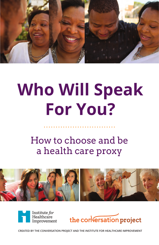

# **Who Will Speak For You?**

## How to choose and be a health care proxy







**CREATED BY THE CONVERSATION PROJECT AND THE INSTITUTE FOR HEALTHCARE IMPROVEMENT**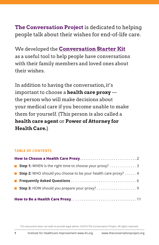### **The Conversation Project** is dedicated to helping people talk about their wishes for end-of-life care.

We developed the **Conversation Starter Kit** as a useful tool to help people have conversations with their family members and loved ones about their wishes.

In addition to having the conversation, it's important to choose a **health care proxy** the person who will make decisions about your medical care if you become unable to make them for yourself. (This person is also called a **health care agent** or **Power of Attorney for Health Care.**)

#### **TABLE OF CONTENTS**

| ■ Step 1: WHEN is the right time to choose your proxy? 3                     |
|------------------------------------------------------------------------------|
| <b>Step 2:</b> WHO should you choose to be your health care proxy? $\dots$ 4 |
|                                                                              |
|                                                                              |
|                                                                              |

This document does not seek to provide legal advice. ©2019 The Conversation Project. All rights reserved.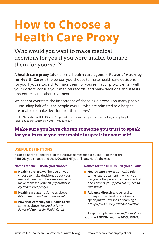# **How to Choose a Health Care Proxy**

Who would you want to make medical decisions for you if you were unable to make them for yourself?

A **health care proxy** (also called a **health care agent** or **Power of Attorney for Health Care**) is the person you choose to make health care decisions for you if you're too sick to make them for yourself. Your proxy can talk with your doctors, consult your medical records, and make decisions about tests, procedures, and other treatment.

We cannot overstate the importance of choosing a proxy. Too many people — including half of all the people over 65 who are admitted to a hospital are unable to make decisions for themselves. \*

\* Torke AM, Sachs GA, Helft PR, et al. Scope and outcomes of surrogate decision making among hospitalized older adults. *JAMA Intern Med*. 2014;174(3):370-377.

### **Make sure you have chosen someone you trust to speak for you in case you are unable to speak for yourself!**

#### **USEFUL DEFINITIONS**

It can be hard to keep track of the various names that are used — both for the **PERSON** you choose and the **DOCUMENT** you fill out. Here's the gist:

#### **Names for the PERSON you choose:**

- **Health care proxy:** The person you choose to make decisions about your medical care if you become unable to make them for yourself (*My brother is my health care proxy.*)
- **Health care agent:** Same as above (*My brother is my health care agent.*)
- **Power of Attorney for Health Care:** Same as above (*My brother is my Power of Attorney for Health Care.*)

#### **Names for the DOCUMENT you fill out:**

- **Health care proxy:** Can ALSO refer to the legal document in which you designate the person to make medical decisions for you (*I filled out my health care proxy.*)
- **Advance directive**: A general term for any written health care instruction specifying your wishes or naming a proxy (*I filled out my advance directive.*)
- To keep it simple, we're using **"proxy"** for both the **PERSON** and the **DOCUMENT.**

. . . . . . . . . . . . . . . . . .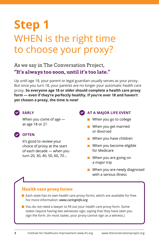# **Step 1** WHEN is the right time to choose your proxy?

As we say in The Conversation Project, **"It's always too soon, until it's too late."**

Up until age 18, your parent or legal guardian usually serves as your proxy. But once you turn 18, your parents are no longer your automatic health care proxy. **So everyone age 18 or older should complete a health care proxy form — even if they're perfectly healthy. If you're over 18 and haven't yet chosen a proxy, the time is now!**



#### **EARLY**

When you come of age at age 18 or 21

#### **OFTEN**

It's good to review your choice of proxy at the start of each decade — when you turn 20, 30, 40, 50, 60, 70…

#### **AT A MAJOR LIFE EVENT**

- When you go to college
- **Now When you get married** or divorced
- **Now When you have children**
- **Now When you become eligible** for Medicare
- **Now When you are going on** a major trip
- When you are newly diagnosed with a serious illness

#### **Health care proxy forms**

- $\blacksquare$  Each state has its own health care proxy forms, which are available for free. For more information: *www.caringinfo.org*
- You do not need a lawyer to fill out your health care proxy form. Some states require having two witnesses sign, saying that they have seen you sign the form. (In most states, your proxy cannot sign as a witness.)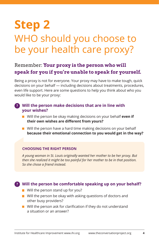# **Step 2** WHO should you choose to be your health care proxy?

### Remember: **Your proxy is the person who will speak for you if you're unable to speak for yourself.**

Being a proxy is not for everyone. Your proxy may have to make tough, quick decisions on your behalf — including decisions about treatments, procedures, even life support. Here are some questions to help you think about who you would like to be your proxy:

#### **? Will the person make decisions that are in line with your wishes?**

- Will the person be okay making decisions on your behalf **even if their own wishes are different from yours?**
- $\blacksquare$  Will the person have a hard time making decisions on your behalf **because their emotional connection to you would get in the way?**

#### **CHOOSING THE RIGHT PERSON**

*A young woman in St. Louis originally wanted her mother to be her proxy. But then she realized it might be too painful for her mother to be in that position. So she chose a friend instead.*

#### **Will the person be comfortable speaking up on your behalf? ?**

- $\blacksquare$  Will the person stand up for you?
- $\blacksquare$  Will the person be okay with asking questions of doctors and other busy providers?
- $\blacksquare$  Will the person ask for clarification if they do not understand a situation or an answer?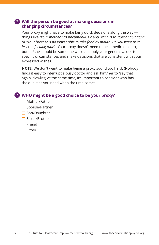#### **? Will the person be good at making decisions in changing circumstances?**

Your proxy might have to make fairly quick decisions along the way things like *"Your mother has pneumonia. Do you want us to start antibiotics?"* or *"Your brother is no longer able to take food by mouth. Do you want us to insert a feeding tube?"* Your proxy doesn't need to be a medical expert, but he/she should be someone who can apply your general values to specific circumstances and make decisions that are consistent with your expressed wishes.

**NOTE:** We don't want to make being a proxy sound too hard. (Nobody finds it easy to interrupt a busy doctor and ask him/her to "say that again, slowly"!) At the same time, it's important to consider who has the qualities you need when the time comes.

### **WHO might be a good choice to be your proxy? ?**

- Mother/Father
- $\Box$  Spouse/Partner
- $\Box$  Son/Daughter
- $\Box$  Sister/Brother
- $\Box$  Friend
- $\Box$  Other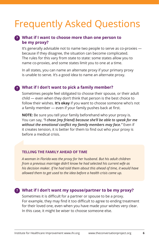# Frequently Asked Questions

#### **What if I want to choose more than one person to ? be my proxy?**

It's generally advisable not to name two people to serve as co-proxies because if they disagree, the situation can become complicated. The rules for this vary from state to state: some states allow you to name co-proxies, and some states limit you to one at a time.

In all states, you can name an alternate proxy if your primary proxy is unable to serve. It's a good idea to name an alternate proxy.

#### **What if I don't want to pick a family member? ?**

Sometimes people feel obligated to choose their spouse, or their adult child — even when they don't think that person is the best choice to follow their wishes. **It's okay** if you want to choose someone who's not a family member — even if your family pushes back at first.

**NOTE:** Be sure you tell your family beforehand who your proxy is. You can say, *"I chose [my friend] because she'll be able to speak for me without the emotional conflict my family members may face."* Even if it creates tension, it is better for them to find out who your proxy is before a medical crisis.

#### **TELLING THE FAMILY AHEAD OF TIME**

*A woman in Florida was the proxy for her husband. But his adult children from a previous marriage didn't know he had selected his current wife as his decision maker. If he had told them about this ahead of time, it would have allowed them to get used to the idea before a health crisis came up.*

#### **What if I don't want my spouse/partner to be my proxy? ?**

Sometimes it is difficult for a partner or spouse to be a proxy. For example, they may find it too difficult to agree to ending treatment for their loved one, even when you have made your wishes very clear. In this case, it might be wiser to choose someone else.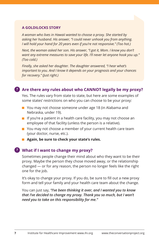#### **A GOLDILOCKS STORY**

*A woman who lives in Hawaii wanted to choose a proxy. She started by asking her husband. His answer, "I could never unhook you from anything. I will hold your hand for 20 years even if you're not responsive." (Too hot.)* 

*Next, the woman asked her son. His answer, "I got it, Mom. I know you don't want any extreme measures to save your life. I'll never let anyone hook you up." (Too cold.)*

*Finally, she asked her daughter. The daughter answered, "I hear what's important to you. And I know it depends on your prognosis and your chances for recovery." (Just right.)* 

#### **Are there any rules about who CANNOT legally be my proxy? ?**

Yes. The rules vary from state to state, but here are some examples of some states' restrictions on who you can choose to be your proxy:

- You may not choose someone under age 18 (in Alabama and Nebraska, under 19).
- $\blacksquare$  If you're a patient in a health care facility, you may not choose an employee of that facility (unless the person is a relative).
- You may not choose a member of your current health care team (your doctor, nurse, etc.).
- **Again, be sure to check your state's rules.**

#### **What if I want to change my proxy? ?**

Sometimes people change their mind about who they want to be their proxy. Maybe the person they chose moved away, or the relationship changed — or for any reason, the person no longer feels like the right one for the job.

It's okay to change your proxy. If you do, be sure to fill out a new proxy form and tell your family and your health care team about the change.

You can just say, *"I've been thinking it over, and I wanted you to know that I've decided to change my proxy. Thank you so much, but I won't need you to take on this responsibility for me."*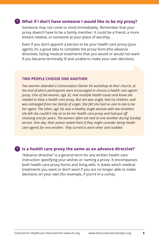#### **What if I don't have someone I would like to be my proxy? ?**

Someone may not come to mind immediately. Remember that your proxy doesn't have to be a family member. It could be a friend, a more distant relative, or someone at your place of worship.

Even if you don't appoint a person to be your health care proxy (your agent), it's a good idea to complete the proxy form (the advance directive), listing medical treatments that you would or would not want if you became terminally ill and unable to make your own decisions.

#### **TWO PEOPLE CHOOSE ONE ANOTHER**

*Two women attended a Conversation Starter Kit workshop at their church, at the end of which participants were encouraged to choose a health care agent/ proxy. One of the women, age 32, had multiple health issues and knew she needed to have a health care proxy. But she was single, had no children, and was estranged from her family of origin. She felt she had no one to ask to be her agent. The other, age 54, was a healthy single woman with two brothers she felt she couldn't rely on to be her health care proxy and had put off choosing one for years. The women often sat next to one another during Sunday service. One day, their pastor asked them if they might consider being health care agents for one another. They turned to each other and nodded.*

#### **Is a health care proxy the same as an advance directive? ?**

"Advance directive" is a general term for any written health care instruction specifying your wishes or naming a proxy. It encompasses both health care proxy forms and living wills. It states which medical treatments you want or don't want if you are no longer able to make decisions on your own (for example, if you're in a coma).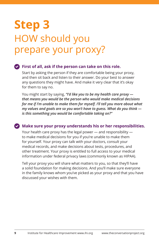# **Step 3**  HOW should you prepare your proxy?

#### **First of all, ask if the person can take on this role.**

Start by asking the person if they are comfortable being your proxy, and then sit back and listen to their answer. Do your best to answer any questions they might have. And make it very clear that it's okay for them to say no.

You might start by saying, *"I'd like you to be my health care proxy that means you would be the person who would make medical decisions for me if I'm unable to make them for myself. I'll tell you more about what my values and goals are so you won't have to guess. What do you think is this something you would be comfortable taking on?"*

#### **Make sure your proxy understands his or her responsibilities.**

Your health care proxy has the legal power — and responsibility to make medical decisions for you if you're unable to make them for yourself. Your proxy can talk with your doctors, consult your medical records, and make decisions about tests, procedures, and other treatment. Your proxy is entitled to full access to your medical information under federal privacy laws (commonly known as HIPAA).

Tell your proxy you will share what matters to you, so that they'll have a solid foundation for making decisions. And you'll make sure everyone in the family knows whom you've picked as your proxy and that you have discussed your wishes with them.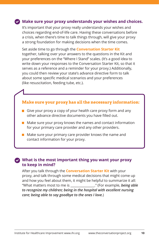#### **Make sure your proxy understands your wishes and choices.**

It's important that your proxy really understands your wishes and choices regarding end-of-life care. Having these conversations before a crisis, when there's time to talk things through, will give your proxy a strong foundation for making decisions when the time comes.

Set aside time to go through the **Conversation Starter Kit** together, talking over your answers to the questions in the Kit and your preferences on the "Where I Stand" scales. (It's a good idea to write down your responses to the Conversation Starter Kit, so that it serves as a reference and a reminder for your proxy.) Additionally, you could then review your state's advance directive form to talk about some specific medical scenarios and your preferences (like resuscitation, feeding tube, etc.).

#### **Make sure your proxy has all the necessary information:**

- Give your proxy a copy of your health care proxy form and any other advance directive documents you have filled out.
- $\blacksquare$  Make sure your proxy knows the names and contact information for your primary care provider and any other providers.
- $\blacksquare$  Make sure your primary care provider knows the name and contact information for your proxy.

#### **What is the most important thing you want your proxy to keep in mind?** ✔

After you talk through the **Conversation Starter Kit** with your proxy, and talk through some medical decisions that might come up and how you feel about them, it might be helpful to summarize it all: "What matters most to me is \_\_\_\_\_\_\_\_\_\_\_\_\_\_\_." (For example, *being able to recognize my children; being in the hospital with excellent nursing care; being able to say goodbye to the ones I love.*)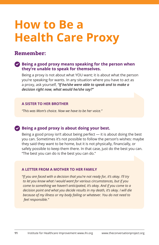# **How to Be a Health Care Proxy**

### **Remember:**

#### **Being a good proxy means speaking for the person when they're unable to speak for themselves.**

Being a proxy is not about what YOU want; it is about what the person you're speaking for wants. In any situation where you have to act as a proxy, ask yourself, *"If he/she were able to speak and to make a decision right now, what would he/she say?"*

#### **A SISTER TO HER BROTHER**

*"This was Mom's choice. Now we have to be her voice."*

#### **Being a good proxy is about doing your best.**

Being a good proxy isn't about being perfect — it is about doing the best you can. Sometimes it's not possible to follow the person's wishes: maybe they said they want to be home, but it is not physically, financially, or safely possible to keep them there. In that case, just do the best you can. "The best you can do is the best you can do."

#### **A LETTER FROM A MOTHER TO HER FAMILY**

*"If you are faced with a decision that you're not ready for, it's okay. I'll try to let you know what I would want for various circumstances, but if you come to something we haven't anticipated, it's okay. And if you come to a decision point and what you decide results in my death, it's okay. I will die because of my illness or my body failing or whatever. You do not need to feel responsible."*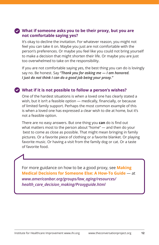#### **What if someone asks you to be their proxy, but you are not comfortable saying yes?**

It's okay to decline the invitation. For whatever reason, you might not feel you can take it on. Maybe you just are not comfortable with the person's preferences. Or maybe you feel like you could not bring yourself to make a decision that might shorten their life. Or maybe you are just too overwhelmed to take on the responsibility.

If you are not comfortable saying yes, the best thing you can do is lovingly say no. Be honest. Say *"Thank you for asking me — I am honored. I just do not think I can do a good job being your proxy."* 

#### **What if it is not possible to follow a person's wishes?**

One of the hardest situations is when a loved one has clearly stated a wish, but it isn't a feasible option — medically, financially, or because of limited family support. Perhaps the most common example of this is when a loved one has expressed a clear wish to die at home, but it's not a feasible option.

There are no easy answers. But one thing you **can** do is find out what matters most to the person about "home" — and then do your best to come as close as possible. That might mean bringing in family pictures. Or a favorite piece of clothing or a favorite blanket. Or playing favorite music. Or having a visit from the family dog or cat. Or a taste of favorite food.

For more guidance on how to be a good proxy, see **Making Medical Decisions for Someone Else: A How-To Guide** — at *www.americanbar.org/groups/law\_aging/resources/ health\_care\_decision\_making/Proxyguide.html*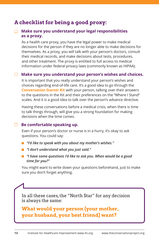### **A checklist for being a good proxy:**

#### **Make sure you understand your legal responsibilities as a proxy.**

 As a health care proxy, you have the legal power to make medical decisions for the person if they are no longer able to make decisions for themselves. As a proxy, you will talk with your person's doctors, consult their medical records, and make decisions about tests, procedures, and other treatment. The proxy is entitled to full access to medical information under federal privacy laws (commonly known as HIPAA).

#### **Make sure you understand your person's wishes and choices.**

 It is important that you really understand your person's wishes and choices regarding end-of-life care. It's a good idea to go through the **Conversation Starter Kit** with your person, talking over their answers to the questions in the Kit and their preferences on the "Where I Stand" scales. And it is a good idea to talk over the person's advance directive.

 Having these conversations before a medical crisis, when there is time to talk things through, will give you a strong foundation for making decisions when the time comes.

#### **Be comfortable speaking up.**

 Even if your person's doctor or nurse is in a hurry, it's okay to ask questions. You could say:

- *"I'd like to speak with you about my mother's wishes."*
- *"I don't understand what you just said."*
- *"I have some questions I'd like to ask you. When would be a good time for you?"*

 You might want to write down your questions beforehand, just to make sure you don't forget anything.

In all these cases, the "North Star" for any decision is always the same:

**What would your person (your mother, your husband, your best friend) want?**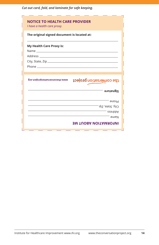*Cut out card, fold, and laminate for safe keeping.*

| The original signed document is located at: |                          |
|---------------------------------------------|--------------------------|
|                                             |                          |
| My Health Care Proxy is:                    |                          |
|                                             |                          |
|                                             |                          |
|                                             |                          |
|                                             |                          |
|                                             |                          |
|                                             |                          |
| www.theconversationproject.org              | the conversation project |
|                                             | Signature                |
|                                             |                          |
|                                             | Phone                    |
|                                             | רונץ, State, Zip—        |
|                                             |                          |
|                                             | Address<br><b>SMAN</b>   |